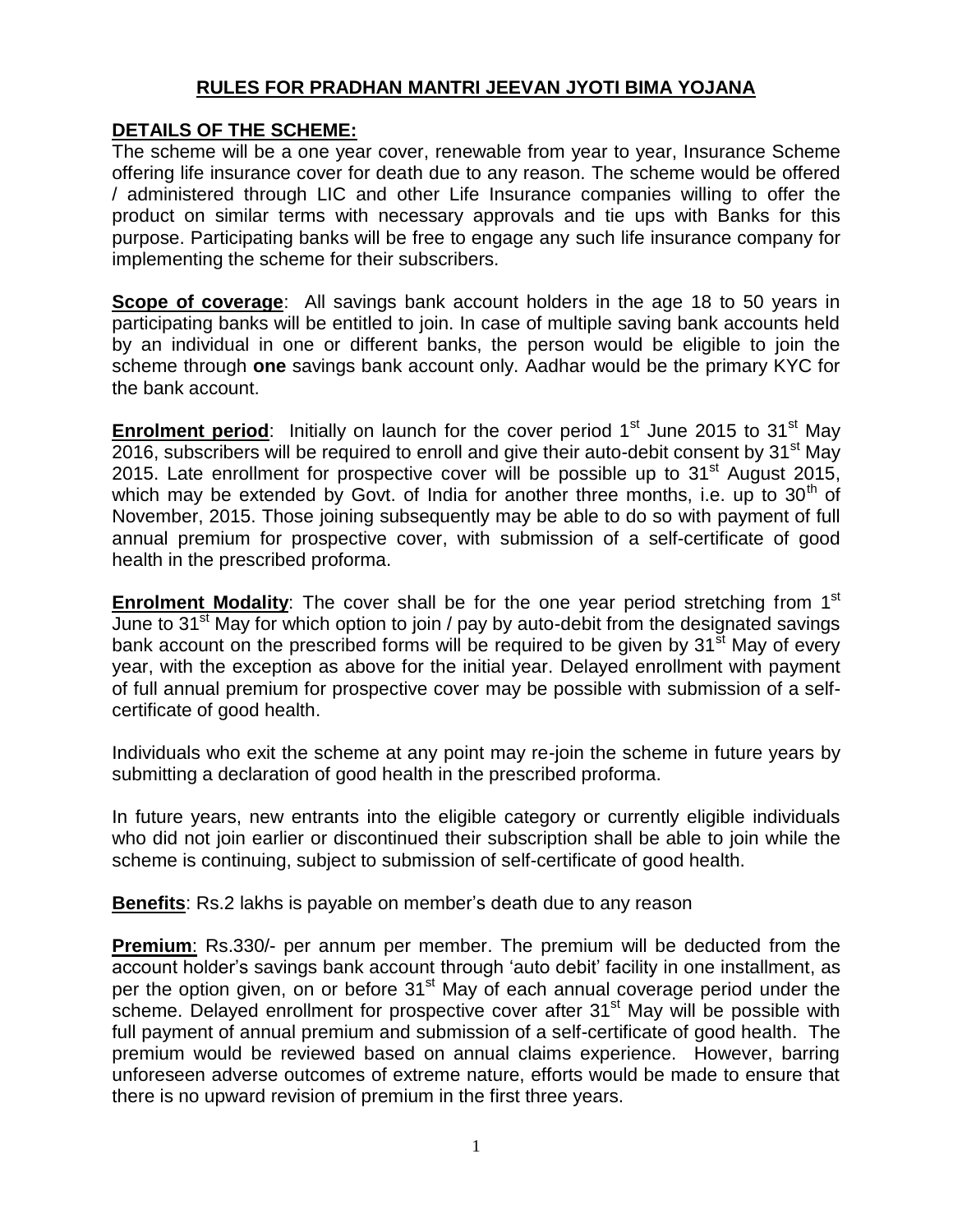## **RULES FOR PRADHAN MANTRI JEEVAN JYOTI BIMA YOJANA**

### **DETAILS OF THE SCHEME:**

The scheme will be a one year cover, renewable from year to year, Insurance Scheme offering life insurance cover for death due to any reason. The scheme would be offered / administered through LIC and other Life Insurance companies willing to offer the product on similar terms with necessary approvals and tie ups with Banks for this purpose. Participating banks will be free to engage any such life insurance company for implementing the scheme for their subscribers.

**Scope of coverage**: All savings bank account holders in the age 18 to 50 years in participating banks will be entitled to join. In case of multiple saving bank accounts held by an individual in one or different banks, the person would be eligible to join the scheme through **one** savings bank account only. Aadhar would be the primary KYC for the bank account.

**Enrolment period**: Initially on launch for the cover period 1<sup>st</sup> June 2015 to 31<sup>st</sup> May  $2016$ , subscribers will be required to enroll and give their auto-debit consent by  $31<sup>st</sup>$  May 2015. Late enrollment for prospective cover will be possible up to  $31<sup>st</sup>$  August 2015, which may be extended by Govt. of India for another three months, i.e. up to  $30<sup>th</sup>$  of November, 2015. Those joining subsequently may be able to do so with payment of full annual premium for prospective cover, with submission of a self-certificate of good health in the prescribed proforma.

**Enrolment Modality**: The cover shall be for the one year period stretching from 1<sup>st</sup> June to  $31<sup>st</sup>$  May for which option to join / pay by auto-debit from the designated savings bank account on the prescribed forms will be required to be given by  $31<sup>st</sup>$  May of every year, with the exception as above for the initial year. Delayed enrollment with payment of full annual premium for prospective cover may be possible with submission of a selfcertificate of good health.

Individuals who exit the scheme at any point may re-join the scheme in future years by submitting a declaration of good health in the prescribed proforma.

In future years, new entrants into the eligible category or currently eligible individuals who did not join earlier or discontinued their subscription shall be able to join while the scheme is continuing, subject to submission of self-certificate of good health.

**Benefits**: Rs.2 lakhs is payable on member's death due to any reason

**Premium**: Rs.330/- per annum per member. The premium will be deducted from the account holder's savings bank account through 'auto debit' facility in one installment, as per the option given, on or before 31<sup>st</sup> May of each annual coverage period under the scheme. Delayed enrollment for prospective cover after 31<sup>st</sup> May will be possible with full payment of annual premium and submission of a self-certificate of good health. The premium would be reviewed based on annual claims experience. However, barring unforeseen adverse outcomes of extreme nature, efforts would be made to ensure that there is no upward revision of premium in the first three years.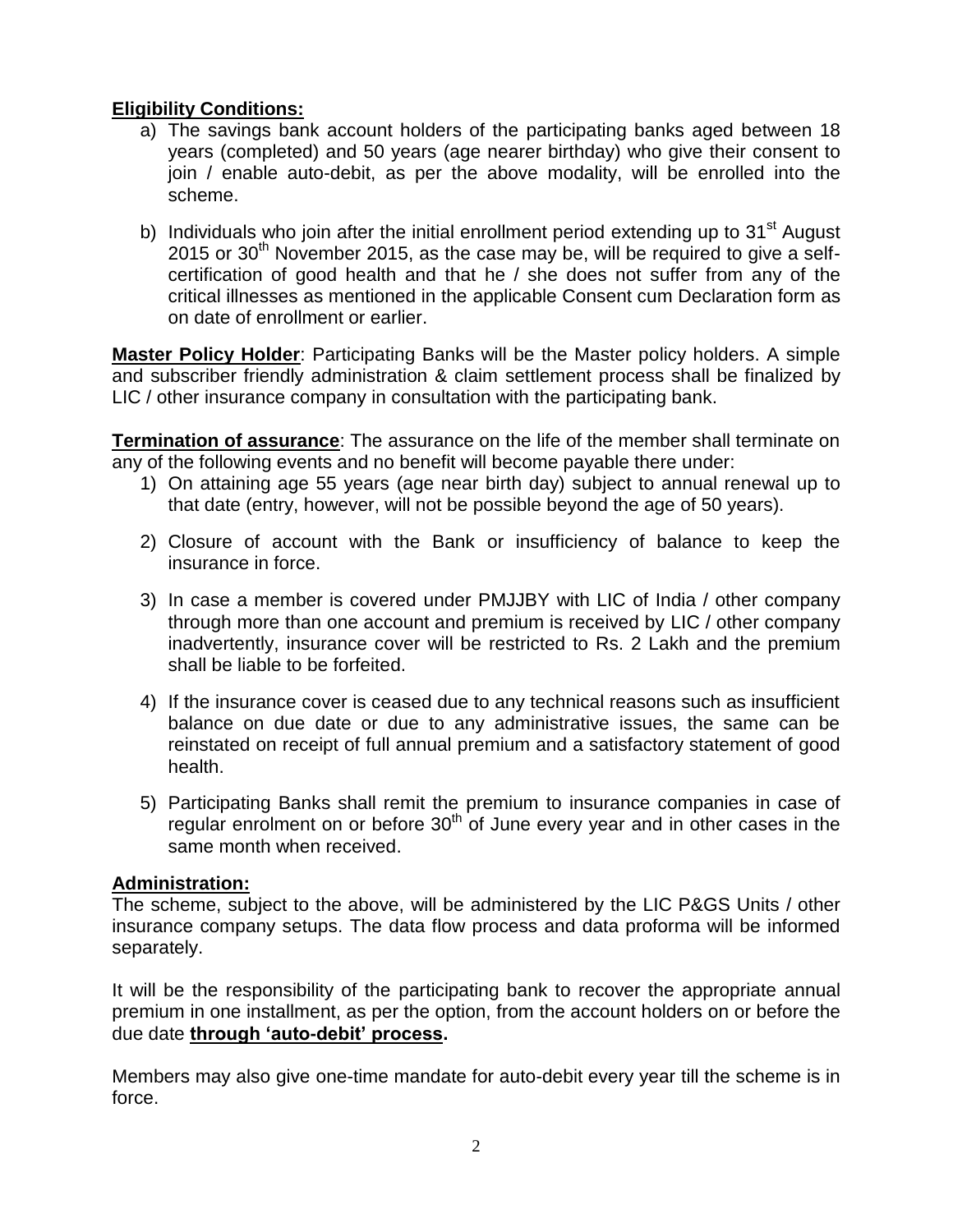# **Eligibility Conditions:**

- a) The savings bank account holders of the participating banks aged between 18 years (completed) and 50 years (age nearer birthday) who give their consent to join / enable auto-debit, as per the above modality, will be enrolled into the scheme.
- b) Individuals who join after the initial enrollment period extending up to  $31<sup>st</sup>$  August 2015 or  $30<sup>th</sup>$  November 2015, as the case may be, will be required to give a selfcertification of good health and that he / she does not suffer from any of the critical illnesses as mentioned in the applicable Consent cum Declaration form as on date of enrollment or earlier.

**Master Policy Holder**: Participating Banks will be the Master policy holders. A simple and subscriber friendly administration & claim settlement process shall be finalized by LIC / other insurance company in consultation with the participating bank.

**Termination of assurance**: The assurance on the life of the member shall terminate on any of the following events and no benefit will become payable there under:

- 1) On attaining age 55 years (age near birth day) subject to annual renewal up to that date (entry, however, will not be possible beyond the age of 50 years).
- 2) Closure of account with the Bank or insufficiency of balance to keep the insurance in force.
- 3) In case a member is covered under PMJJBY with LIC of India / other company through more than one account and premium is received by LIC / other company inadvertently, insurance cover will be restricted to Rs. 2 Lakh and the premium shall be liable to be forfeited.
- 4) If the insurance cover is ceased due to any technical reasons such as insufficient balance on due date or due to any administrative issues, the same can be reinstated on receipt of full annual premium and a satisfactory statement of good health.
- 5) Participating Banks shall remit the premium to insurance companies in case of regular enrolment on or before  $30<sup>th</sup>$  of June every year and in other cases in the same month when received.

### **Administration:**

The scheme, subject to the above, will be administered by the LIC P&GS Units / other insurance company setups. The data flow process and data proforma will be informed separately.

It will be the responsibility of the participating bank to recover the appropriate annual premium in one installment, as per the option, from the account holders on or before the due date **through 'auto-debit' process.** 

Members may also give one-time mandate for auto-debit every year till the scheme is in force.